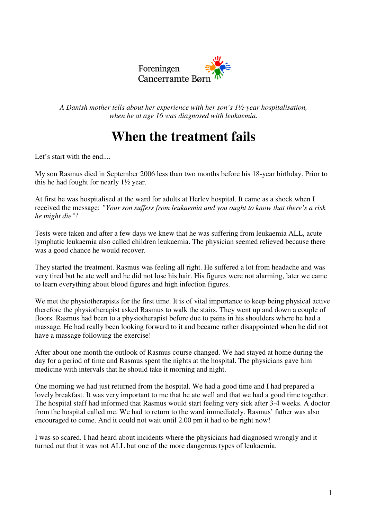

*A Danish mother tells about her experience with her son's 1½-year hospitalisation, when he at age 16 was diagnosed with leukaemia.*

# **When the treatment fails**

Let's start with the end...

My son Rasmus died in September 2006 less than two months before his 18-year birthday. Prior to this he had fought for nearly 1½ year.

At first he was hospitalised at the ward for adults at Herlev hospital. It came as a shock when I received the message: *"Your son suffers from leukaemia and you ought to know that there's a risk he might die"!*

Tests were taken and after a few days we knew that he was suffering from leukaemia ALL, acute lymphatic leukaemia also called children leukaemia. The physician seemed relieved because there was a good chance he would recover.

They started the treatment. Rasmus was feeling all right. He suffered a lot from headache and was very tired but he ate well and he did not lose his hair. His figures were not alarming, later we came to learn everything about blood figures and high infection figures.

We met the physiotherapists for the first time. It is of vital importance to keep being physical active therefore the physiotherapist asked Rasmus to walk the stairs. They went up and down a couple of floors. Rasmus had been to a physiotherapist before due to pains in his shoulders where he had a massage. He had really been looking forward to it and became rather disappointed when he did not have a massage following the exercise!

After about one month the outlook of Rasmus course changed. We had stayed at home during the day for a period of time and Rasmus spent the nights at the hospital. The physicians gave him medicine with intervals that he should take it morning and night.

One morning we had just returned from the hospital. We had a good time and I had prepared a lovely breakfast. It was very important to me that he ate well and that we had a good time together. The hospital staff had informed that Rasmus would start feeling very sick after 3-4 weeks. A doctor from the hospital called me. We had to return to the ward immediately. Rasmus' father was also encouraged to come. And it could not wait until 2.00 pm it had to be right now!

I was so scared. I had heard about incidents where the physicians had diagnosed wrongly and it turned out that it was not ALL but one of the more dangerous types of leukaemia.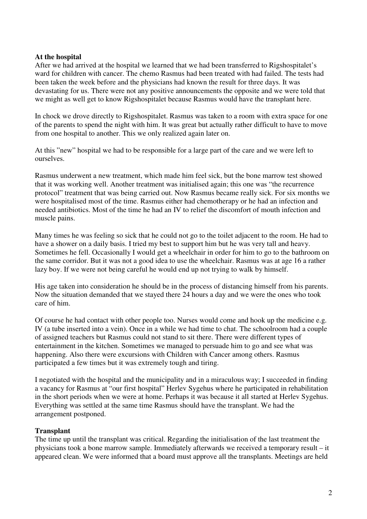## **At the hospital**

After we had arrived at the hospital we learned that we had been transferred to Rigshospitalet's ward for children with cancer. The chemo Rasmus had been treated with had failed. The tests had been taken the week before and the physicians had known the result for three days. It was devastating for us. There were not any positive announcements the opposite and we were told that we might as well get to know Rigshospitalet because Rasmus would have the transplant here.

In chock we drove directly to Rigshospitalet. Rasmus was taken to a room with extra space for one of the parents to spend the night with him. It was great but actually rather difficult to have to move from one hospital to another. This we only realized again later on.

At this "new" hospital we had to be responsible for a large part of the care and we were left to ourselves.

Rasmus underwent a new treatment, which made him feel sick, but the bone marrow test showed that it was working well. Another treatment was initialised again; this one was "the recurrence protocol" treatment that was being carried out. Now Rasmus became really sick. For six months we were hospitalised most of the time. Rasmus either had chemotherapy or he had an infection and needed antibiotics. Most of the time he had an IV to relief the discomfort of mouth infection and muscle pains.

Many times he was feeling so sick that he could not go to the toilet adjacent to the room. He had to have a shower on a daily basis. I tried my best to support him but he was very tall and heavy. Sometimes he fell. Occasionally I would get a wheelchair in order for him to go to the bathroom on the same corridor. But it was not a good idea to use the wheelchair. Rasmus was at age 16 a rather lazy boy. If we were not being careful he would end up not trying to walk by himself.

His age taken into consideration he should be in the process of distancing himself from his parents. Now the situation demanded that we stayed there 24 hours a day and we were the ones who took care of him.

Of course he had contact with other people too. Nurses would come and hook up the medicine e.g. IV (a tube inserted into a vein). Once in a while we had time to chat. The schoolroom had a couple of assigned teachers but Rasmus could not stand to sit there. There were different types of entertainment in the kitchen. Sometimes we managed to persuade him to go and see what was happening. Also there were excursions with Children with Cancer among others. Rasmus participated a few times but it was extremely tough and tiring.

I negotiated with the hospital and the municipality and in a miraculous way; I succeeded in finding a vacancy for Rasmus at "our first hospital" Herlev Sygehus where he participated in rehabilitation in the short periods when we were at home. Perhaps it was because it all started at Herlev Sygehus. Everything was settled at the same time Rasmus should have the transplant. We had the arrangement postponed.

#### **Transplant**

The time up until the transplant was critical. Regarding the initialisation of the last treatment the physicians took a bone marrow sample. Immediately afterwards we received a temporary result – it appeared clean. We were informed that a board must approve all the transplants. Meetings are held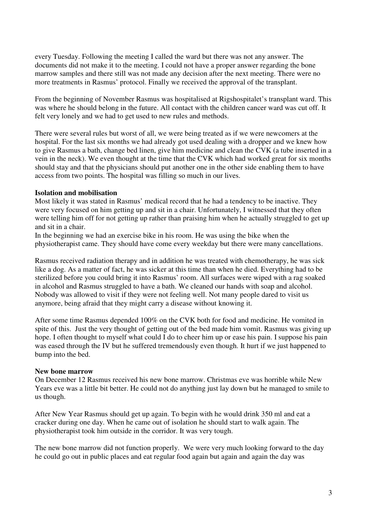every Tuesday. Following the meeting I called the ward but there was not any answer. The documents did not make it to the meeting. I could not have a proper answer regarding the bone marrow samples and there still was not made any decision after the next meeting. There were no more treatments in Rasmus' protocol. Finally we received the approval of the transplant.

From the beginning of November Rasmus was hospitalised at Rigshospitalet's transplant ward. This was where he should belong in the future. All contact with the children cancer ward was cut off. It felt very lonely and we had to get used to new rules and methods.

There were several rules but worst of all, we were being treated as if we were newcomers at the hospital. For the last six months we had already got used dealing with a dropper and we knew how to give Rasmus a bath, change bed linen, give him medicine and clean the CVK (a tube inserted in a vein in the neck). We even thought at the time that the CVK which had worked great for six months should stay and that the physicians should put another one in the other side enabling them to have access from two points. The hospital was filling so much in our lives.

## **Isolation and mobilisation**

Most likely it was stated in Rasmus' medical record that he had a tendency to be inactive. They were very focused on him getting up and sit in a chair. Unfortunately, I witnessed that they often were telling him off for not getting up rather than praising him when he actually struggled to get up and sit in a chair.

In the beginning we had an exercise bike in his room. He was using the bike when the physiotherapist came. They should have come every weekday but there were many cancellations.

Rasmus received radiation therapy and in addition he was treated with chemotherapy, he was sick like a dog. As a matter of fact, he was sicker at this time than when he died. Everything had to be sterilized before you could bring it into Rasmus' room. All surfaces were wiped with a rag soaked in alcohol and Rasmus struggled to have a bath. We cleaned our hands with soap and alcohol. Nobody was allowed to visit if they were not feeling well. Not many people dared to visit us anymore, being afraid that they might carry a disease without knowing it.

After some time Rasmus depended 100% on the CVK both for food and medicine. He vomited in spite of this. Just the very thought of getting out of the bed made him vomit. Rasmus was giving up hope. I often thought to myself what could I do to cheer him up or ease his pain. I suppose his pain was eased through the IV but he suffered tremendously even though. It hurt if we just happened to bump into the bed.

#### **New bone marrow**

On December 12 Rasmus received his new bone marrow. Christmas eve was horrible while New Years eve was a little bit better. He could not do anything just lay down but he managed to smile to us though.

After New Year Rasmus should get up again. To begin with he would drink 350 ml and eat a cracker during one day. When he came out of isolation he should start to walk again. The physiotherapist took him outside in the corridor. It was very tough.

The new bone marrow did not function properly. We were very much looking forward to the day he could go out in public places and eat regular food again but again and again the day was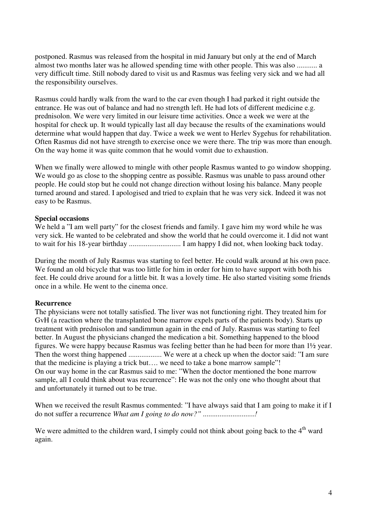postponed. Rasmus was released from the hospital in mid January but only at the end of March almost two months later was he allowed spending time with other people. This was also ........... a very difficult time. Still nobody dared to visit us and Rasmus was feeling very sick and we had all the responsibility ourselves.

Rasmus could hardly walk from the ward to the car even though I had parked it right outside the entrance. He was out of balance and had no strength left. He had lots of different medicine e.g. prednisolon. We were very limited in our leisure time activities. Once a week we were at the hospital for check up. It would typically last all day because the results of the examinations would determine what would happen that day. Twice a week we went to Herlev Sygehus for rehabilitation. Often Rasmus did not have strength to exercise once we were there. The trip was more than enough. On the way home it was quite common that he would vomit due to exhaustion.

When we finally were allowed to mingle with other people Rasmus wanted to go window shopping. We would go as close to the shopping centre as possible. Rasmus was unable to pass around other people. He could stop but he could not change direction without losing his balance. Many people turned around and stared. I apologised and tried to explain that he was very sick. Indeed it was not easy to be Rasmus.

## **Special occasions**

We held a "I am well party" for the closest friends and family. I gave him my word while he was very sick. He wanted to be celebrated and show the world that he could overcome it. I did not want to wait for his 18-year birthday ............................ I am happy I did not, when looking back today.

During the month of July Rasmus was starting to feel better. He could walk around at his own pace. We found an old bicycle that was too little for him in order for him to have support with both his feet. He could drive around for a little bit. It was a lovely time. He also started visiting some friends once in a while. He went to the cinema once.

# **Recurrence**

The physicians were not totally satisfied. The liver was not functioning right. They treated him for GvH (a reaction where the transplanted bone marrow expels parts of the patients body). Starts up treatment with prednisolon and sandimmun again in the end of July. Rasmus was starting to feel better. In August the physicians changed the medication a bit. Something happened to the blood figures. We were happy because Rasmus was feeling better than he had been for more than 1½ year. Then the worst thing happened .................. We were at a check up when the doctor said: "I am sure that the medicine is playing a trick but…. we need to take a bone marrow sample"! On our way home in the car Rasmus said to me: "When the doctor mentioned the bone marrow sample, all I could think about was recurrence": He was not the only one who thought about that and unfortunately it turned out to be true.

When we received the result Rasmus commented: "I have always said that I am going to make it if I do not suffer a recurrence *What am I going to do now?" ............................!*

We were admitted to the children ward, I simply could not think about going back to the  $4<sup>th</sup>$  ward again.